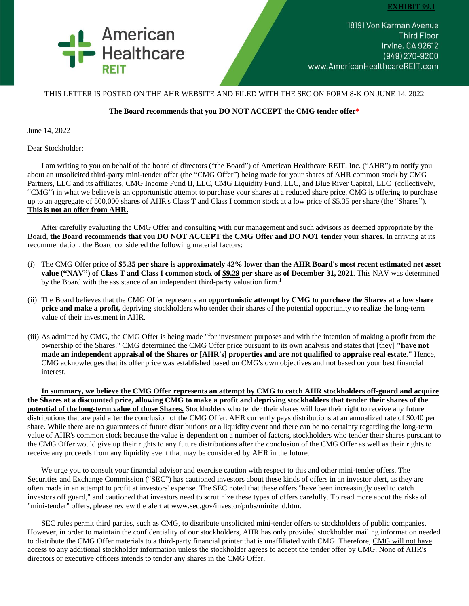

18191 Von Karman Avenue **Third Floor** Irvine, CA 92612 (949) 270-9200 www.AmericanHealthcareREIT.com

## THIS LETTER IS POSTED ON THE AHR WEBSITE AND FILED WITH THE SEC ON FORM 8-K ON JUNE 14, 2022

## **The Board recommends that you DO NOT ACCEPT the CMG tender offer\***

June 14, 2022

Dear Stockholder:

I am writing to you on behalf of the board of directors ("the Board") of American Healthcare REIT, Inc. ("AHR") to notify you about an unsolicited third-party mini-tender offer (the "CMG Offer") being made for your shares of AHR common stock by CMG Partners, LLC and its affiliates, CMG Income Fund II, LLC, CMG Liquidity Fund, LLC, and Blue River Capital, LLC (collectively, "CMG") in what we believe is an opportunistic attempt to purchase your shares at a reduced share price. CMG is offering to purchase up to an aggregate of 500,000 shares of AHR's Class T and Class I common stock at a low price of \$5.35 per share (the "Shares"). **This is not an offer from AHR.**

After carefully evaluating the CMG Offer and consulting with our management and such advisors as deemed appropriate by the Board, **the Board recommends that you DO NOT ACCEPT the CMG Offer and DO NOT tender your shares.** In arriving at its recommendation, the Board considered the following material factors:

- (i) The CMG Offer price of **\$5.35 per share is approximately 42% lower than the AHR Board's most recent estimated net asset value ("NAV") of Class T and Class I common stock of \$9.29 per share as of December 31, 2021**. This NAV was determined by the Board with the assistance of an independent third-party valuation firm.<sup>1</sup>
- (ii) The Board believes that the CMG Offer represents **an opportunistic attempt by CMG to purchase the Shares at a low share price and make a profit,** depriving stockholders who tender their shares of the potential opportunity to realize the long-term value of their investment in AHR.
- (iii) As admitted by CMG, the CMG Offer is being made "for investment purposes and with the intention of making a profit from the ownership of the Shares." CMG determined the CMG Offer price pursuant to its own analysis and states that [they] **"have not made an independent appraisal of the Shares or [AHR's] properties and are not qualified to appraise real estate**.**"** Hence, CMG acknowledges that its offer price was established based on CMG's own objectives and not based on your best financial interest.

**In summary, we believe the CMG Offer represents an attempt by CMG to catch AHR stockholders off-guard and acquire the Shares at a discounted price, allowing CMG to make a profit and depriving stockholders that tender their shares of the potential of the long-term value of those Shares.** Stockholders who tender their shares will lose their right to receive any future distributions that are paid after the conclusion of the CMG Offer. AHR currently pays distributions at an annualized rate of \$0.40 per share. While there are no guarantees of future distributions or a liquidity event and there can be no certainty regarding the long-term value of AHR's common stock because the value is dependent on a number of factors, stockholders who tender their shares pursuant to the CMG Offer would give up their rights to any future distributions after the conclusion of the CMG Offer as well as their rights to receive any proceeds from any liquidity event that may be considered by AHR in the future.

We urge you to consult your financial advisor and exercise caution with respect to this and other mini-tender offers. The Securities and Exchange Commission ("SEC") has cautioned investors about these kinds of offers in an investor alert, as they are often made in an attempt to profit at investors' expense. The SEC noted that these offers "have been increasingly used to catch investors off guard," and cautioned that investors need to scrutinize these types of offers carefully. To read more about the risks of "mini-tender" offers, please review the alert at www.sec.gov/investor/pubs/minitend.htm.

SEC rules permit third parties, such as CMG, to distribute unsolicited mini-tender offers to stockholders of public companies. However, in order to maintain the confidentiality of our stockholders, AHR has only provided stockholder mailing information needed to distribute the CMG Offer materials to a third-party financial printer that is unaffiliated with CMG. Therefore, CMG will not have access to any additional stockholder information unless the stockholder agrees to accept the tender offer by CMG. None of AHR's directors or executive officers intends to tender any shares in the CMG Offer.